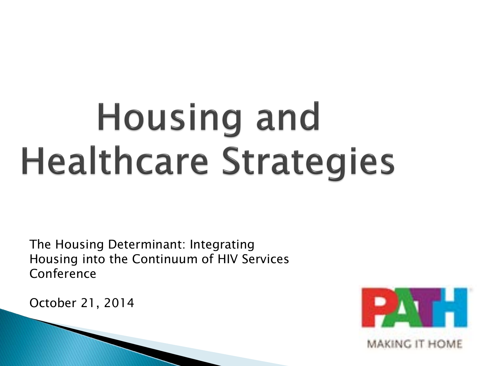# **Housing and Healthcare Strategies**

The Housing Determinant: Integrating Housing into the Continuum of HIV Services Conference

October 21, 2014

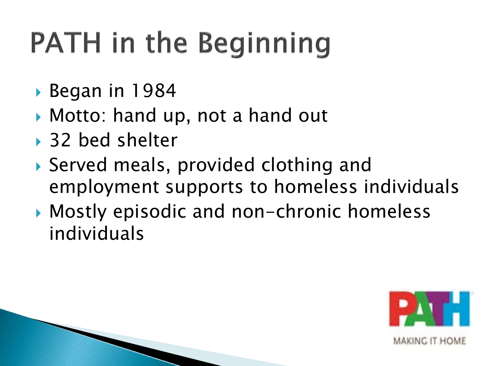## **PATH in the Beginning**

- Began in 1984
- Motto: hand up, not a hand out
- ▶ 32 bed shelter
- Served meals, provided clothing and employment supports to homeless individuals
- Mostly episodic and non-chronic homeless individuals

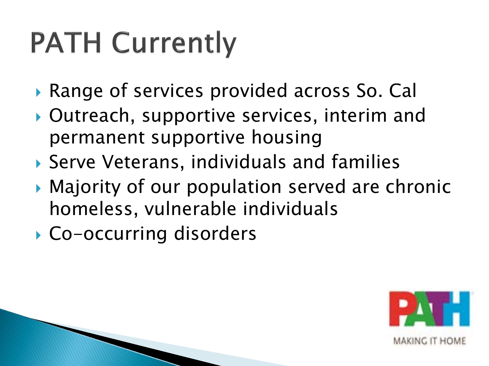## **PATH Currently**

- Range of services provided across So. Cal
- Outreach, supportive services, interim and permanent supportive housing
- Serve Veterans, individuals and families
- ▶ Majority of our population served are chronic homeless, vulnerable individuals
- ▶ Co-occurring disorders

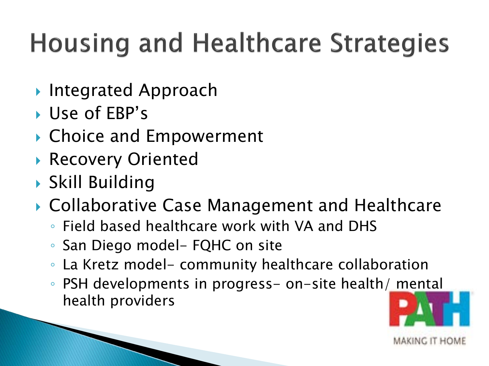#### **Housing and Healthcare Strategies**

- ▶ Integrated Approach
- Use of EBP's
- ▶ Choice and Empowerment
- ▶ Recovery Oriented
- Skill Building
- ▶ Collaborative Case Management and Healthcare
	- Field based healthcare work with VA and DHS
	- San Diego model- FQHC on site
	- La Kretz model- community healthcare collaboration
	- PSH developments in progress- on-site health/ mental health providers

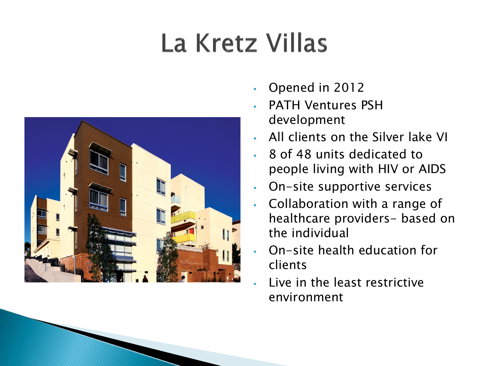#### La Kretz Villas



- Opened in 2012
- PATH Ventures PSH development
- All clients on the Silver lake VI
- 8 of 48 units dedicated to people living with HIV or AIDS
- On-site supportive services
- Collaboration with a range of healthcare providers- based on the individual
- On-site health education for clients
- Live in the least restrictive environment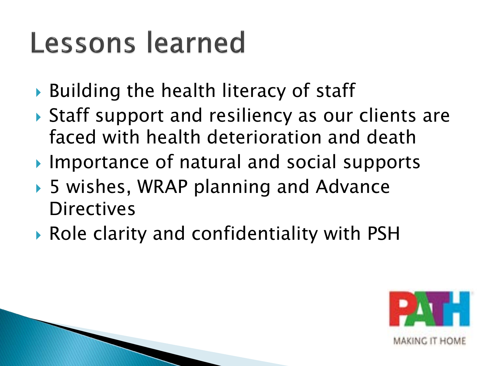### Lessons learned

- ▶ Building the health literacy of staff
- ▶ Staff support and resiliency as our clients are faced with health deterioration and death
- Importance of natural and social supports
- ▶ 5 wishes, WRAP planning and Advance **Directives**
- Role clarity and confidentiality with PSH